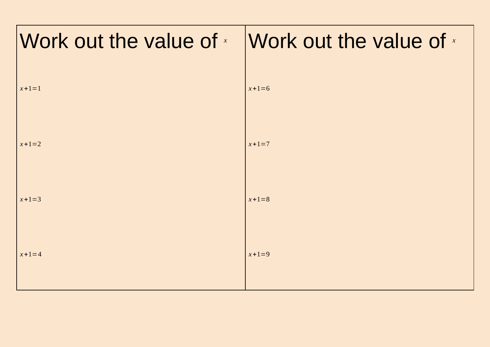| Work out the value of $x$ Work out the value of $x$ |             |
|-----------------------------------------------------|-------------|
| $x + 1 = 1$                                         | $x + 1 = 6$ |
| $x + 1 = 2$                                         | $x + 1 = 7$ |
| $x + 1 = 3$                                         | $x + 1 = 8$ |
| $x + 1 = 4$                                         | $x + 1 = 9$ |
|                                                     |             |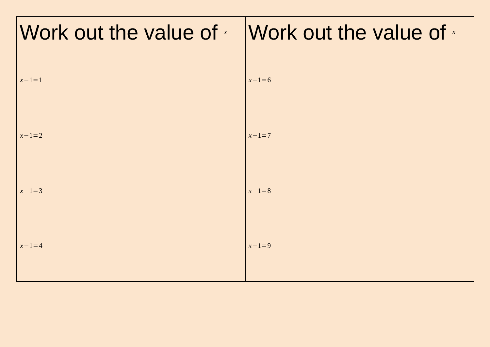| Work out the value of $*$ Work out the value of $*$ |             |
|-----------------------------------------------------|-------------|
| $x - 1 = 1$                                         | $x - 1 = 6$ |
| $x - 1 = 2$                                         | $x - 1 = 7$ |
| $x - 1 = 3$                                         | $x - 1 = 8$ |
| $x - 1 = 4$                                         | $x - 1 = 9$ |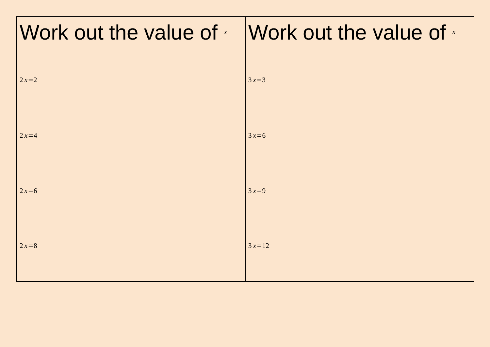| Work out the value of $x$ Work out the value of $x$ |         |
|-----------------------------------------------------|---------|
| $2x=2$                                              | $3x=3$  |
| $2x=4$                                              | $3x=6$  |
| $2x=6$                                              | $3x=9$  |
| $2x=8$                                              | $3x=12$ |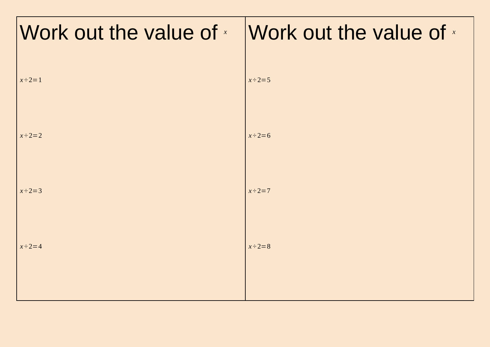| Work out the value of $x$ Work out the value of $x$ |                |
|-----------------------------------------------------|----------------|
| $x \div 2 = 1$                                      | $x \div 2 = 5$ |
|                                                     |                |
| $x \div 2 = 2$                                      | $x \div 2 = 6$ |
|                                                     |                |
| $x \div 2 = 3$                                      | $x \div 2 = 7$ |
| $x \div 2 = 4$                                      | $x \div 2 = 8$ |
|                                                     |                |
|                                                     |                |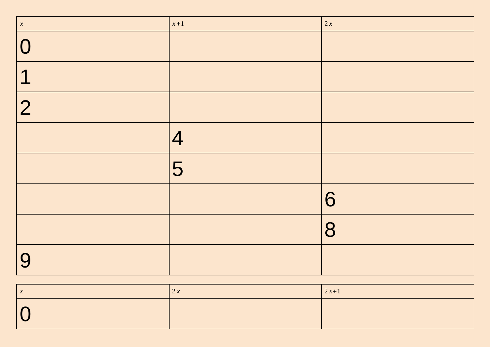| $\begin{pmatrix} x \\ x \end{pmatrix}$ | $x+1$          | 2x |
|----------------------------------------|----------------|----|
| $\overline{0}$                         |                |    |
| $\overline{\mathbf{1}}$                |                |    |
| 2                                      |                |    |
|                                        | $\overline{4}$ |    |
|                                        | 5              |    |
|                                        |                | 6  |
|                                        |                | 8  |
| 9                                      |                |    |

| $\alpha$ | $\angle \Lambda$ | $2x+1$ |
|----------|------------------|--------|
|          |                  |        |
|          |                  |        |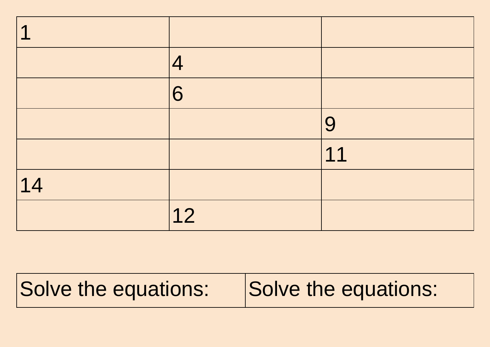| $\blacktriangleleft$ |    |    |
|----------------------|----|----|
|                      | 4  |    |
|                      | 6  |    |
|                      |    | 9  |
|                      |    | 11 |
| 14                   |    |    |
|                      | 12 |    |

## Solve the equations: Solve the equations: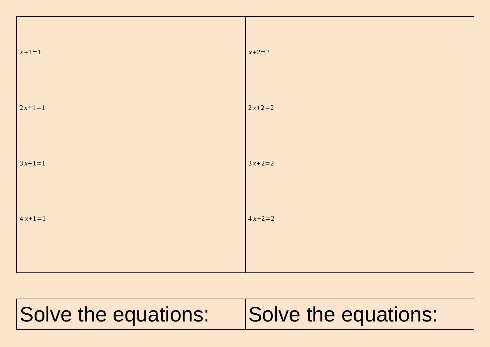| $x + 1 = 1$ | $x + 2 = 2$ |
|-------------|-------------|
| $2x+1=1$    | $2x+2=2$    |
| $3x+1=1$    | $3x+2=2$    |
| $4x+1=1$    | $4x+2=2$    |
|             |             |

Solve the equations: Solve the equations: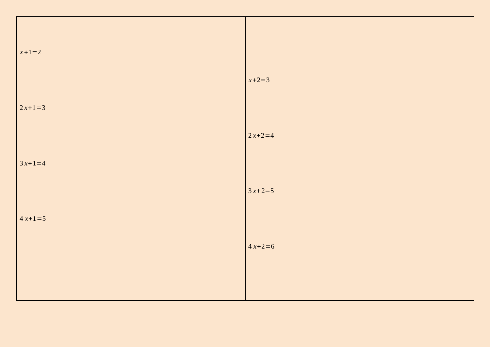| $x+1=2$  |             |
|----------|-------------|
| $2x+1=3$ | $x + 2 = 3$ |
| $3x+1=4$ | $2x+2=4$    |
| $4x+1=5$ | $3x+2=5$    |
|          | $4x+2=6$    |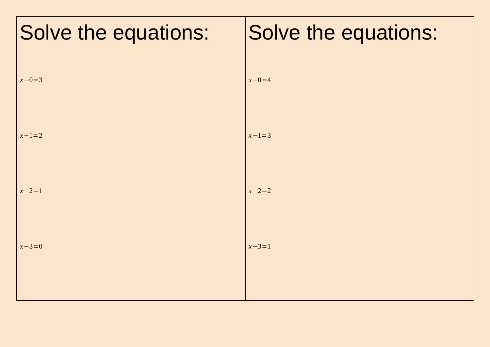| Solve the equations: | Solve the equations: |
|----------------------|----------------------|
|                      |                      |
| $x - 0 = 3$          | $x - 0 = 4$          |
| $x - 1 = 2$          | $x - 1 = 3$          |
|                      |                      |
| $x - 2 = 1$          | $x - 2 = 2$          |
|                      |                      |
| $x - 3 = 0$          | $x - 3 = 1$          |
|                      |                      |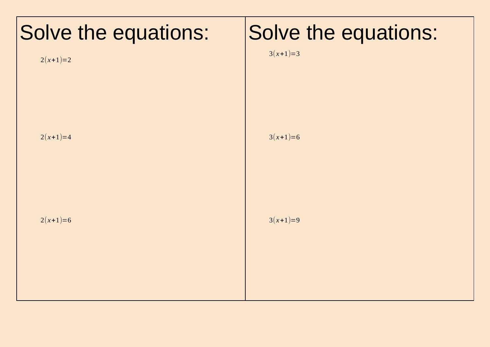| Solve the equations:<br>$2(x+1)=2$ | Solve the equations:<br>$3(x+1)=3$ |
|------------------------------------|------------------------------------|
| $2(x+1)=4$                         | $3(x+1)=6$                         |
| $2(x+1)=6$                         | $3(x+1)=9$                         |
|                                    |                                    |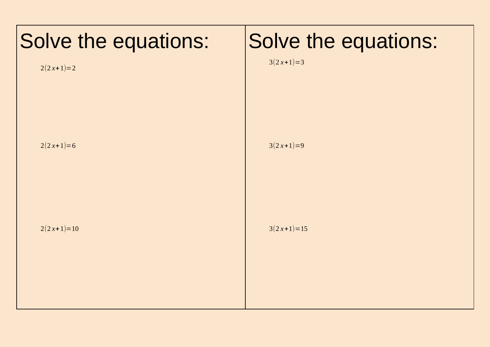